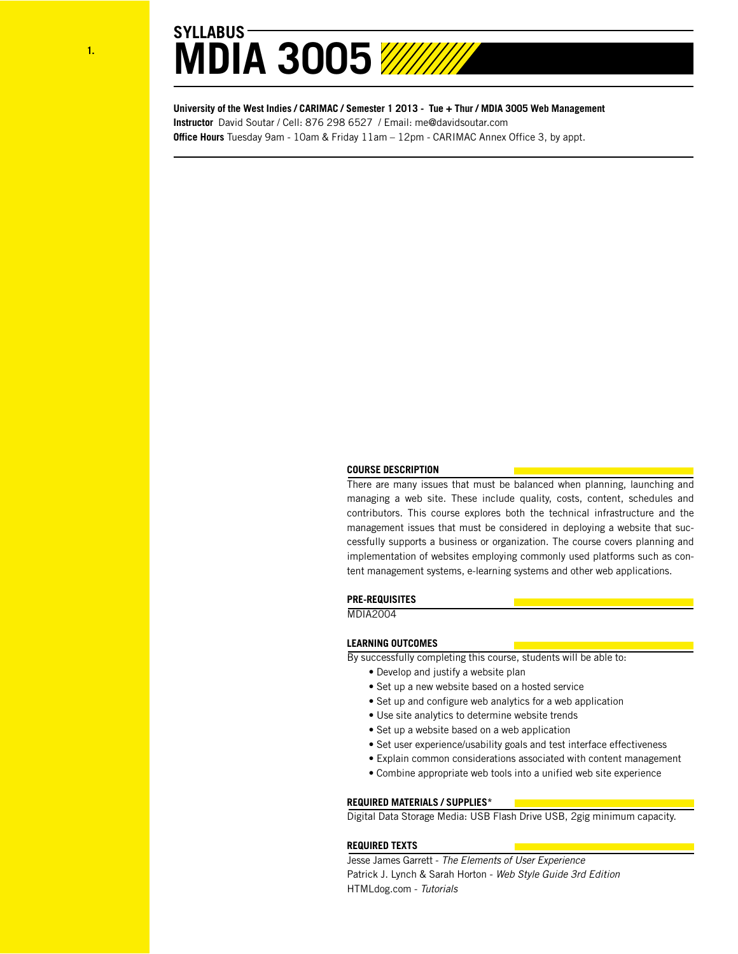**University of the West Indies / CARIMAC / Semester 1 2013 - Tue + Thur / MDIA 3005 Web Management Instructor** David Soutar / Cell: 876 298 6527 / Email: me@davidsoutar.com **Office Hours** Tuesday 9am - 10am & Friday 11am – 12pm - CARIMAC Annex Office 3, by appt.

## **COURSE DESCRIPTION**

There are many issues that must be balanced when planning, launching and managing a web site. These include quality, costs, content, schedules and contributors. This course explores both the technical infrastructure and the management issues that must be considered in deploying a website that successfully supports a business or organization. The course covers planning and implementation of websites employing commonly used platforms such as content management systems, e-learning systems and other web applications.

## **PRE-REQUISITES**

MDIA2004

#### **LEARNING OUTCOMES**

By successfully completing this course, students will be able to:

- Develop and justify a website plan
- Set up a new website based on a hosted service
- Set up and configure web analytics for a web application
- Use site analytics to determine website trends
- Set up a website based on a web application
- Set user experience/usability goals and test interface effectiveness
- Explain common considerations associated with content management
- Combine appropriate web tools into a unified web site experience

#### **REQUIRED MATERIALS / SUPPLIES\***

Digital Data Storage Media: USB Flash Drive USB, 2gig minimum capacity.

#### **REQUIRED TEXTS**

Jesse James Garrett - *The Elements of User Experience* Patrick J. Lynch & Sarah Horton - *Web Style Guide 3rd Edition* HTMLdog.com - *Tutorials*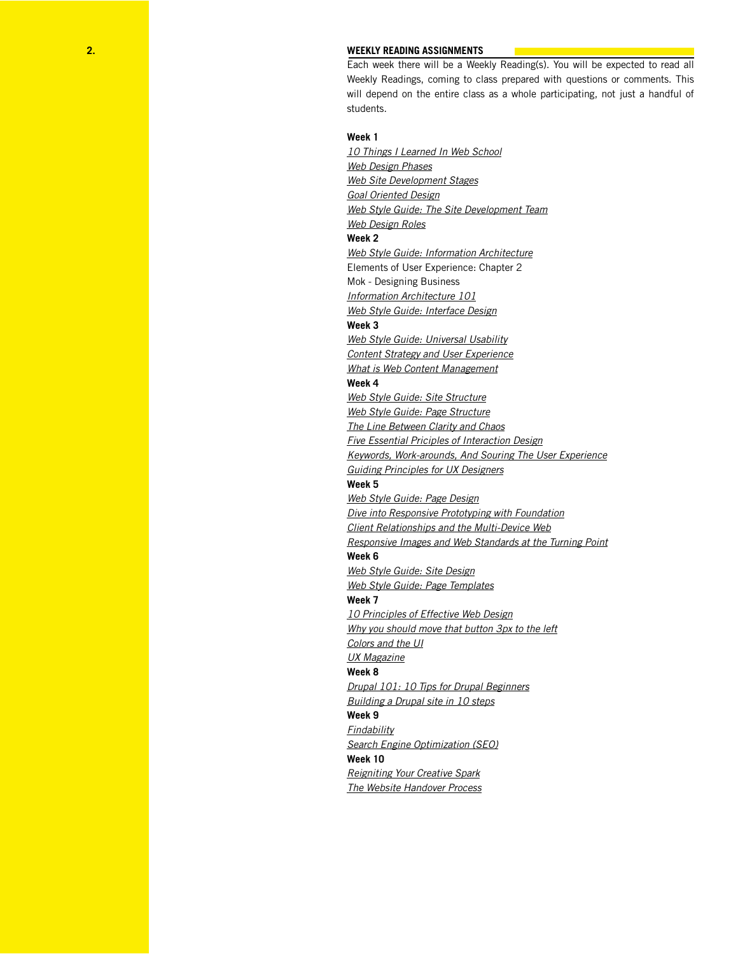#### **WEEKLY READING ASSIGNMENTS**

Each week there will be a Weekly Reading(s). You will be expected to read all Weekly Readings, coming to class prepared with questions or comments. This will depend on the entire class as a whole participating, not just a handful of students.

## **Week 1**

*[10 Things I Learned In Web School](http://www.lukew.com/ff/entry.asp%3F1133) [Web Design Phases](http://www.idesignstudios.com/blog/web-design/phases-web-design-development-process/) [Web Site Development Stages](http://www.dev4masses.com/a_web_site_development/%20) [Goal Oriented Design](http://www.webdesignfromscratch.com/goal-oriented-design/introduction/) Web Style Guide: [The Site Development Team](http://webstyleguide.com/wsg3/1-process/2-development-team.html) [Web Design Roles](http://www.practicalecommerce.com/articles/242-Web-Design-Multiple-Roles)* **Week 2** *[Web Style Guide: Information Architecture](http://webstyleguide.com/wsg3/3-information-architecture/)* Elements of User Experience: Chapter 2 Mok - Designing Business *[Information Architecture 101](http://sixrevisions.com/usabilityaccessibility/information-architecture-101-techniques-and-best-practices/) Web Style Guide: [Interface Design](http://webstyleguide.com/wsg3/4-interface-design/3-interface-design.html%20)* **Week 3** *[Web Style Guide: Universal Usability](http://webstyleguide.com/wsg3/2-universal-usability/) [Content Strategy and User Experience](http://www.uxmag.com/strategy/content-strategy-and-ux-a-modern-love-story) [What is Web Content Management](http://www.aiim.org/What-is-Web-CMS-WCM-System-Content-Management)* **Week 4** *Web Style Guide: [Site Structure](http://webstyleguide.com/wsg3/5-site-structure/index.html) [Web Style Guide: Page Structure](http://webstyleguide.com/wsg3/6-page-structure/index.html) [The Line Between Clarity and Chaos](http://boxesandarrows.com/the-line-between-clarity-and-chaos/) [Five Essential Priciples of Interaction Design](http://tv.adobe.com/watch/classroom-five-essential-principles-of-interaction-design/part-1-five-essential-principles-of-interaction-design/) [Keywords, Work-arounds, And Souring The User Experience](http://tv.adobe.com/watch/classroom-five-essential-principles-of-interaction-design/part-1-five-essential-principles-of-interaction-design/) [Guiding Principles for UX Designers](http://uxmag.com/articles/guiding-principles-for-ux-designers)* **Week 5** *[Web Style Guide: Page D](http://webstyleguide.com/wsg3/7-page-design/index.html)esign [Dive into Responsive Prototyping with Foundation](http://alistapart.com/article/dive-into-responsive-prototyping-with-foundation) [Client Relationships and the Multi-Device Web](http://alistapart.com/article/client-relationships-and-the-multi-device-web) [Responsive Images and Web Standards at the Turning Point](http://alistapart.com/article/responsive-images-and-web-standards-at-the-turning-point)* **Week 6** *[Web Style Guide: Site Design](http://webstyleguide.com/wsg3/6-page-structure/3-site-design.html) [Web Style Guide: Page Templates](http://webstyleguide.com/wsg3/6-page-structure/4-page-templates.html)* **Week 7** *[10 Principles of Effective Web Design](http://uxdesign.smashingmagazine.com/2008/01/31/10-principles-of-effective-web-design/) [Why you should move that button 3px to the left](https://medium.com/design-startups/c012e5ad32f7) Colors and the UI [UX Magazine](http://uxmag.com/articles/guiding-principles-for-ux-designers)* **Week 8** *[Drupal 101: 10 Tips for Drupal Beginners](http://www.chrisfree.me/2010/02/drupal-101-10-tips-drupal-beginners) [Building a Drupal site in 10 steps](http://www.adobe.com/devnet/dreamweaver/articles/drupal_site_in_10_steps.html)* **Week 9** *[Findability](http://buildingfindablewebsites.com/d/findability-strategy-checklist.pdf) [Search Engine Optimization \(SEO\)](http://webstyleguide.com/wsg3/5-site-structure/4-search-engine-optimization.html)* **Week 10** *[Reigniting Your Creative Spark](http://alistapart.com/article/reigniting-your-creative-spark) [The Website Handover Process](http://rules.ssw.com.au/Management/RulesToSuccessfulProjects/Pages/HandOverProject.aspx)*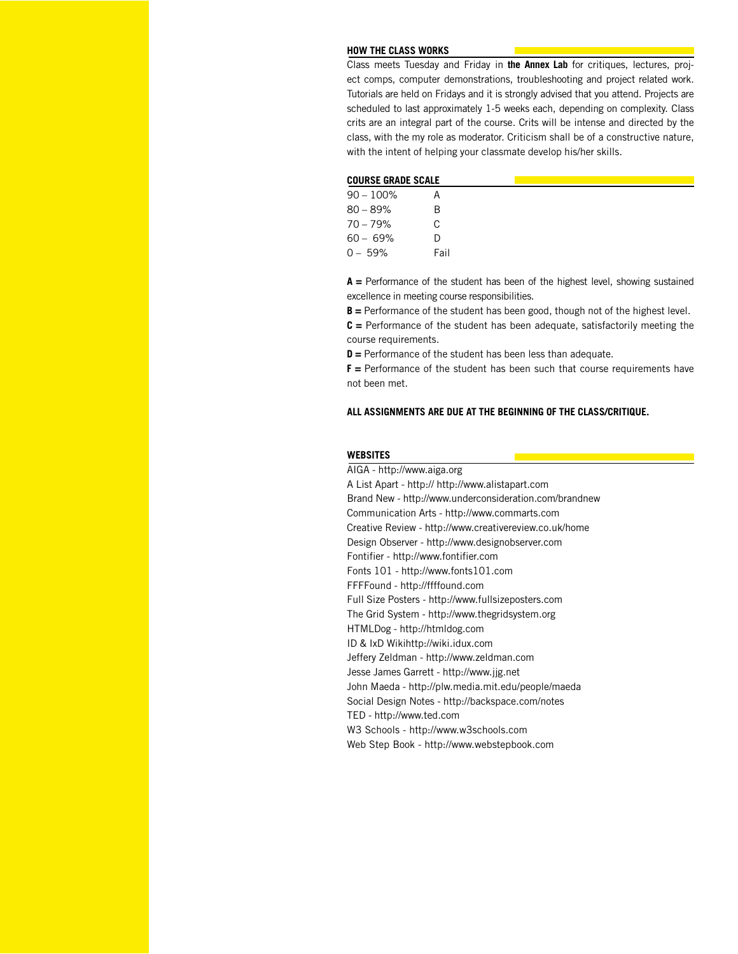#### **HOW THE CLASS WORKS**

Class meets Tuesday and Friday in **the Annex Lab** for critiques, lectures, project comps, computer demonstrations, troubleshooting and project related work. Tutorials are held on Fridays and it is strongly advised that you attend. Projects are scheduled to last approximately 1-5 weeks each, depending on complexity. Class crits are an integral part of the course. Crits will be intense and directed by the class, with the my role as moderator. Criticism shall be of a constructive nature, with the intent of helping your classmate develop his/her skills.

| <b>COURSE GRADE SCALE</b> |      |  |
|---------------------------|------|--|
| $90 - 100\%$              |      |  |
| $80 - 89%$                | В    |  |
| 70 – 79%                  | C    |  |
| $60 - 69%$                | D    |  |
| $0 - 59\%$                | Fail |  |

**A =** Performance of the student has been of the highest level, showing sustained excellence in meeting course responsibilities.

**B =** Performance of the student has been good, though not of the highest level.

**C =** Performance of the student has been adequate, satisfactorily meeting the course requirements.

**D =** Performance of the student has been less than adequate.

**F =** Performance of the student has been such that course requirements have not been met.

## **ALL ASSIGNMENTS ARE DUE AT THE BEGINNING OF THE CLASS/CRITIQUE.**

## **WEBSITES**

AIGA - http://www.aiga.org A List Apart - http:// http://www.alistapart.com Brand New - http://www.underconsideration.com/brandnew Communication Arts - http://www.commarts.com Creative Review - http://www.creativereview.co.uk/home Design Observer - http://www.designobserver.com Fontifier - http://www.fontifier.com Fonts 101 - http://www.fonts101.com FFFFound - http://ffffound.com Full Size Posters - http://www.fullsizeposters.com The Grid System - http://www.thegridsystem.org HTMLDog - http://htmldog.com ID & IxD Wikihttp://wiki.idux.com Jeffery Zeldman - http://www.zeldman.com Jesse James Garrett - http://www.jjg.net John Maeda - http://plw.media.mit.edu/people/maeda Social Design Notes - http://backspace.com/notes TED - http://www.ted.com W3 Schools - http://www.w3schools.com Web Step Book - http://www.webstepbook.com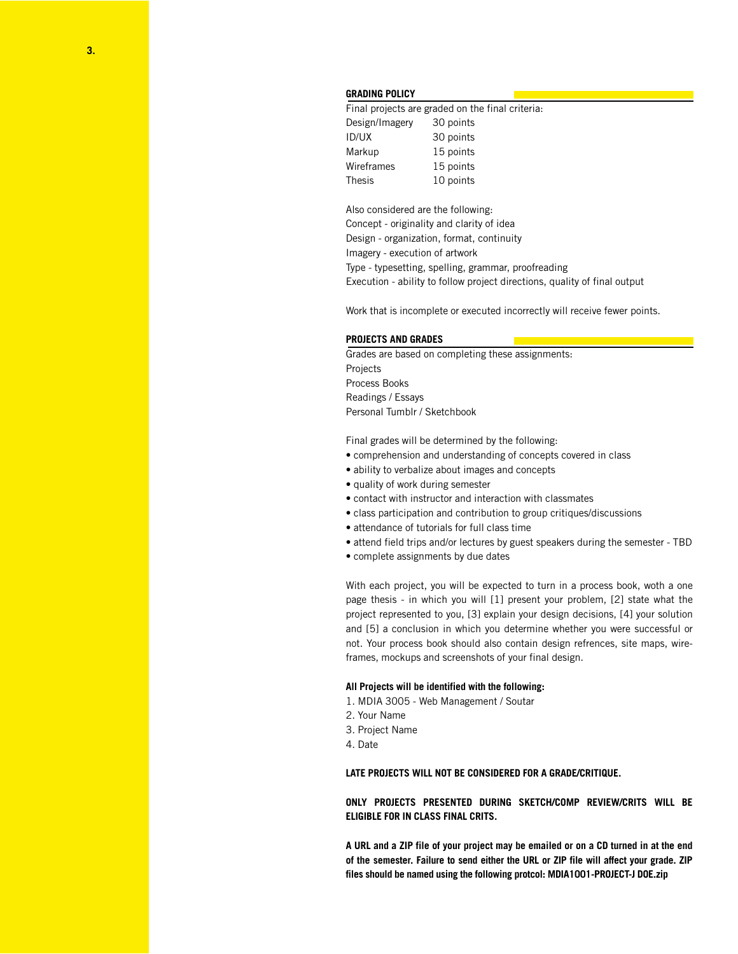## **GRADING POLICY**

Final projects are graded on the final criteria: Design/Imagery 30 points ID/UX 30 points Markup 15 points Wireframes 15 points Thesis 10 points

Also considered are the following: Concept - originality and clarity of idea Design - organization, format, continuity Imagery - execution of artwork Type - typesetting, spelling, grammar, proofreading Execution - ability to follow project directions, quality of final output

Work that is incomplete or executed incorrectly will receive fewer points.

#### **PROJECTS AND GRADES**

Grades are based on completing these assignments: Projects Process Books Readings / Essays Personal Tumblr / Sketchbook

Final grades will be determined by the following:

- comprehension and understanding of concepts covered in class
- ability to verbalize about images and concepts
- quality of work during semester
- contact with instructor and interaction with classmates
- class participation and contribution to group critiques/discussions
- attendance of tutorials for full class time
- attend field trips and/or lectures by guest speakers during the semester TBD
- complete assignments by due dates

With each project, you will be expected to turn in a process book, woth a one page thesis - in which you will [1] present your problem, [2] state what the project represented to you, [3] explain your design decisions, [4] your solution and [5] a conclusion in which you determine whether you were successful or not. Your process book should also contain design refrences, site maps, wireframes, mockups and screenshots of your final design.

#### **All Projects will be identified with the following:**

- 1. MDIA 3005 Web Management / Soutar
- 2. Your Name
- 3. Project Name
- 4. Date

## **LATE PROJECTS WILL NOT BE CONSIDERED FOR A GRADE/CRITIQUE.**

**ONLY PROJECTS PRESENTED DURING SKETCH/COMP REVIEW/CRITS WILL BE ELIGIBLE FOR IN CLASS FINAL CRITS.**

**A URL and a ZIP file of your project may be emailed or on a CD turned in at the end of the semester. Failure to send either the URL or ZIP file will affect your grade. ZIP files should be named using the following protcol: MDIA1001-PROJECT-J DOE.zip**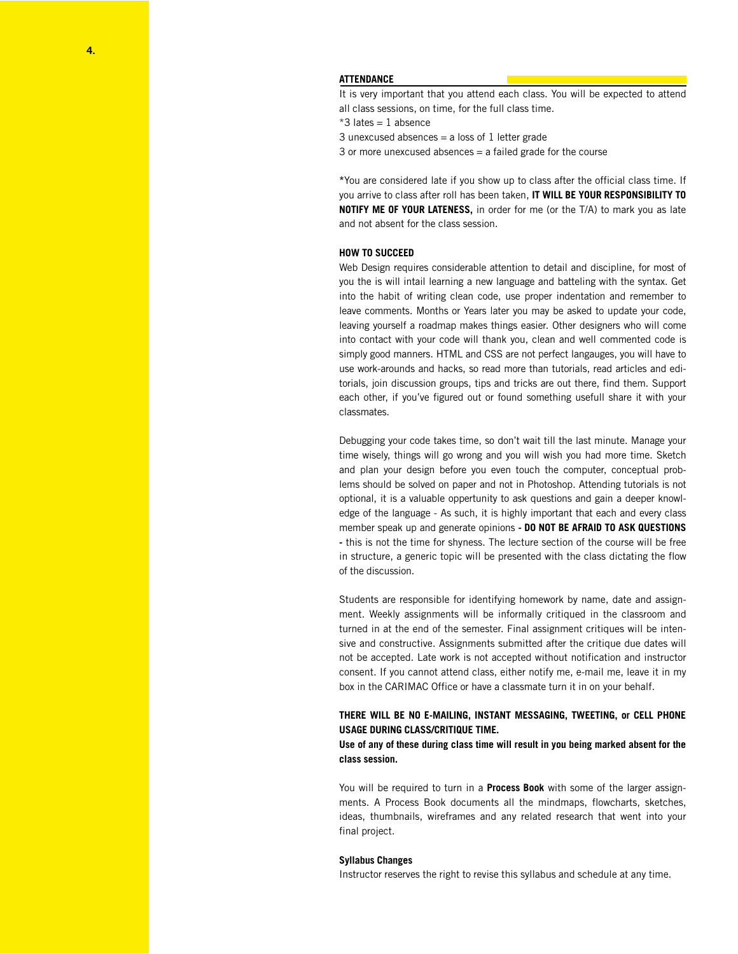## **ATTENDANCE**

It is very important that you attend each class. You will be expected to attend all class sessions, on time, for the full class time.

 $*3$  lates = 1 absence

3 unexcused absences  $=$  a loss of 1 letter grade

3 or more unexcused absences = a failed grade for the course

**\***You are considered late if you show up to class after the official class time. If you arrive to class after roll has been taken, **IT WILL BE YOUR RESPONSIBILITY TO NOTIFY ME OF YOUR LATENESS,** in order for me (or the T/A) to mark you as late and not absent for the class session.

## **HOW TO SUCCEED**

Web Design requires considerable attention to detail and discipline, for most of you the is will intail learning a new language and batteling with the syntax. Get into the habit of writing clean code, use proper indentation and remember to leave comments. Months or Years later you may be asked to update your code, leaving yourself a roadmap makes things easier. Other designers who will come into contact with your code will thank you, clean and well commented code is simply good manners. HTML and CSS are not perfect langauges, you will have to use work-arounds and hacks, so read more than tutorials, read articles and editorials, join discussion groups, tips and tricks are out there, find them. Support each other, if you've figured out or found something usefull share it with your classmates.

Debugging your code takes time, so don't wait till the last minute. Manage your time wisely, things will go wrong and you will wish you had more time. Sketch and plan your design before you even touch the computer, conceptual problems should be solved on paper and not in Photoshop. Attending tutorials is not optional, it is a valuable oppertunity to ask questions and gain a deeper knowledge of the language - As such, it is highly important that each and every class member speak up and generate opinions **- DO NOT BE AFRAID TO ASK QUESTIONS -** this is not the time for shyness. The lecture section of the course will be free in structure, a generic topic will be presented with the class dictating the flow of the discussion.

Students are responsible for identifying homework by name, date and assignment. Weekly assignments will be informally critiqued in the classroom and turned in at the end of the semester. Final assignment critiques will be intensive and constructive. Assignments submitted after the critique due dates will not be accepted. Late work is not accepted without notification and instructor consent. If you cannot attend class, either notify me, e-mail me, leave it in my box in the CARIMAC Office or have a classmate turn it in on your behalf.

# **THERE WILL BE NO E-MAILING, INSTANT MESSAGING, TWEETING, or CELL PHONE USAGE DURING CLASS/CRITIQUE TIME.**

**Use of any of these during class time will result in you being marked absent for the class session.** 

You will be required to turn in a **Process Book** with some of the larger assignments. A Process Book documents all the mindmaps, flowcharts, sketches, ideas, thumbnails, wireframes and any related research that went into your final project.

## **Syllabus Changes**

Instructor reserves the right to revise this syllabus and schedule at any time.